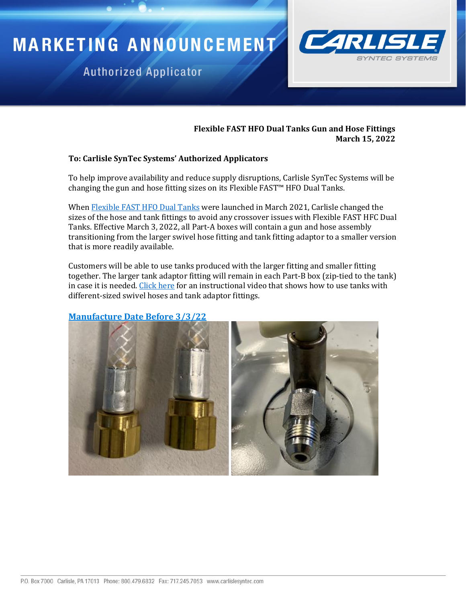



## **Authorized Applicator**

## **Flexible FAST HFO Dual Tanks Gun and Hose Fittings March 15, 2022**

## **To: Carlisle SynTec Systems' Authorized Applicators**

To help improve availability and reduce supply disruptions, Carlisle SynTec Systems will be changing the gun and hose fitting sizes on its Flexible FAST™ HFO Dual Tanks.

When [Flexible FAST HFO Dual Tanks](https://www.carlislesyntec.com/en/Document-Viewer/carlisle-syntec-systems-is-pleased-to-add-flexible-fast-hfo-dual-tanks-marketing-announcement/1fe41adc-edab-9cb4-1207-df2865758d84) were launched in March 2021, Carlisle changed the sizes of the hose and tank fittings to avoid any crossover issues with Flexible FAST HFC Dual Tanks. Effective March 3, 2022, all Part-A boxes will contain a gun and hose assembly transitioning from the larger swivel hose fitting and tank fitting adaptor to a smaller version that is more readily available.

Customers will be able to use tanks produced with the larger fitting and smaller fitting together. The larger tank adaptor fitting will remain in each Part-B box (zip-tied to the tank) in case it is needed. [Click here](https://www.carlislesyntec.com/en/Document-Viewer/flexible-fast-hfo-dual-tank-hose-fitting-update/9f395e4b-11a2-cd26-5a04-56de502b494a) for an instructional video that shows how to use tanks with different-sized swivel hoses and tank adaptor fittings.

**Manufacture Date Before 3/3/22**